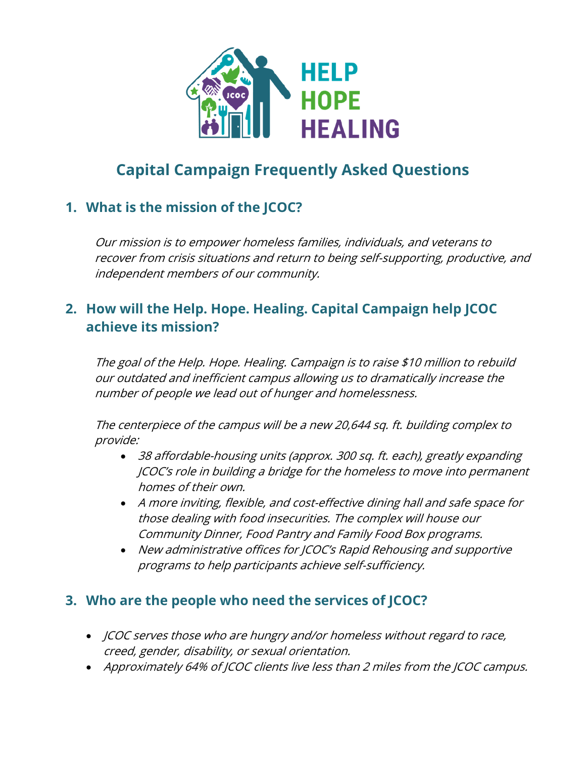

# **Capital Campaign Frequently Asked Questions**

# **1. What is the mission of the JCOC?**

Our mission is to empower homeless families, individuals, and veterans to recover from crisis situations and return to being self-supporting, productive, and independent members of our community.

# **2. How will the Help. Hope. Healing. Capital Campaign help JCOC achieve its mission?**

The goal of the Help. Hope. Healing. Campaign is to raise \$10 million to rebuild our outdated and inefficient campus allowing us to dramatically increase the number of people we lead out of hunger and homelessness.

The centerpiece of the campus will be a new 20,644 sq. ft. building complex to provide:

- 38 affordable-housing units (approx. 300 sq. ft. each), greatly expanding JCOC's role in building a bridge for the homeless to move into permanent homes of their own.
- A more inviting, flexible, and cost-effective dining hall and safe space for those dealing with food insecurities. The complex will house our Community Dinner, Food Pantry and Family Food Box programs.
- New administrative offices for JCOC's Rapid Rehousing and supportive programs to help participants achieve self-sufficiency.

## **3. Who are the people who need the services of JCOC?**

- JCOC serves those who are hungry and/or homeless without regard to race, creed, gender, disability, or sexual orientation.
- Approximately 64% of JCOC clients live less than 2 miles from the JCOC campus.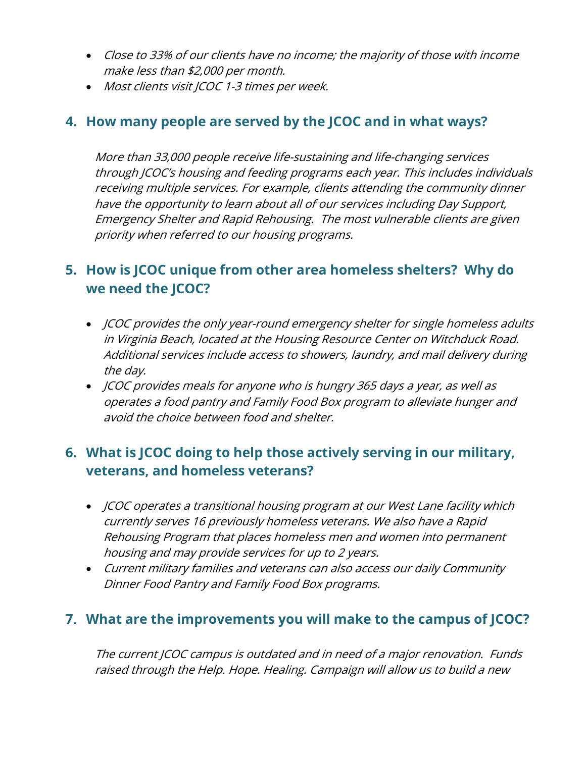- Close to 33% of our clients have no income; the majority of those with income make less than \$2,000 per month.
- Most clients visit JCOC 1-3 times per week.

#### **4. How many people are served by the JCOC and in what ways?**

More than 33,000 people receive life-sustaining and life-changing services through JCOC's housing and feeding programs each year. This includes individuals receiving multiple services. For example, clients attending the community dinner have the opportunity to learn about all of our services including Day Support, Emergency Shelter and Rapid Rehousing. The most vulnerable clients are given priority when referred to our housing programs.

## **5. How is JCOC unique from other area homeless shelters? Why do we need the JCOC?**

- JCOC provides the only year-round emergency shelter for single homeless adults in Virginia Beach, located at the Housing Resource Center on Witchduck Road. Additional services include access to showers, laundry, and mail delivery during the day.
- JCOC provides meals for anyone who is hungry 365 days a year, as well as operates a food pantry and Family Food Box program to alleviate hunger and avoid the choice between food and shelter.

## **6. What is JCOC doing to help those actively serving in our military, veterans, and homeless veterans?**

- JCOC operates a transitional housing program at our West Lane facility which currently serves 16 previously homeless veterans. We also have a Rapid Rehousing Program that places homeless men and women into permanent housing and may provide services for up to 2 years.
- Current military families and veterans can also access our daily Community Dinner Food Pantry and Family Food Box programs.

#### **7. What are the improvements you will make to the campus of JCOC?**

The current JCOC campus is outdated and in need of a major renovation. Funds raised through the Help. Hope. Healing. Campaign will allow us to build a new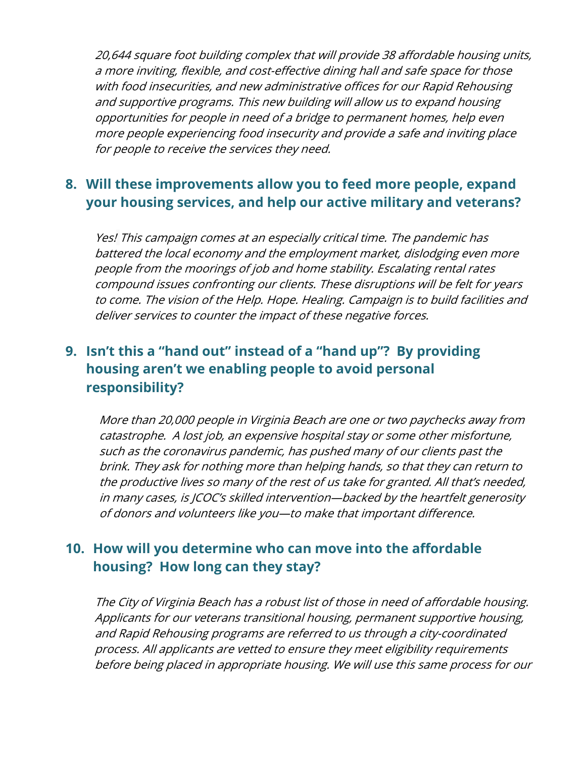20,644 square foot building complex that will provide 38 affordable housing units, a more inviting, flexible, and cost-effective dining hall and safe space for those with food insecurities, and new administrative offices for our Rapid Rehousing and supportive programs. This new building will allow us to expand housing opportunities for people in need of a bridge to permanent homes, help even more people experiencing food insecurity and provide a safe and inviting place for people to receive the services they need.

## **8. Will these improvements allow you to feed more people, expand your housing services, and help our active military and veterans?**

Yes! This campaign comes at an especially critical time. The pandemic has battered the local economy and the employment market, dislodging even more people from the moorings of job and home stability. Escalating rental rates compound issues confronting our clients. These disruptions will be felt for years to come. The vision of the Help. Hope. Healing. Campaign is to build facilities and deliver services to counter the impact of these negative forces.

# **9. Isn't this a "hand out" instead of a "hand up"? By providing housing aren't we enabling people to avoid personal responsibility?**

More than 20,000 people in Virginia Beach are one or two paychecks away from catastrophe. A lost job, an expensive hospital stay or some other misfortune, such as the coronavirus pandemic, has pushed many of our clients past the brink. They ask for nothing more than helping hands, so that they can return to the productive lives so many of the rest of us take for granted. All that's needed, in many cases, is JCOC's skilled intervention—backed by the heartfelt generosity of donors and volunteers like you—to make that important difference.

## **10. How will you determine who can move into the affordable housing? How long can they stay?**

The City of Virginia Beach has a robust list of those in need of affordable housing. Applicants for our veterans transitional housing, permanent supportive housing, and Rapid Rehousing programs are referred to us through a city-coordinated process. All applicants are vetted to ensure they meet eligibility requirements before being placed in appropriate housing. We will use this same process for our